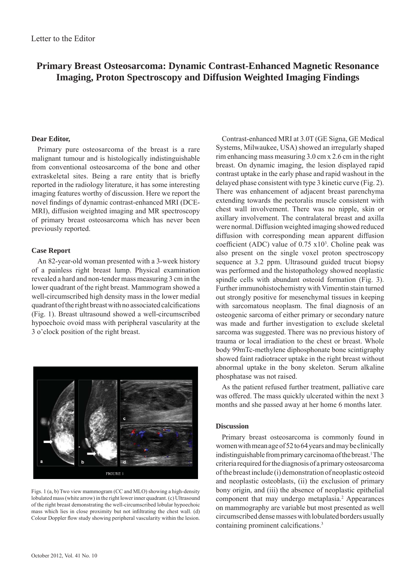# **Primary Breast Osteosarcoma: Dynamic Contrast-Enhanced Magnetic Resonance Imaging, Proton Spectroscopy and Diffusion Weighted Imaging Findings**

## **Dear Editor,**

Primary pure osteosarcoma of the breast is a rare malignant tumour and is histologically indistinguishable from conventional osteosarcoma of the bone and other extraskeletal sites. Being a rare entity that is briefly reported in the radiology literature, it has some interesting imaging features worthy of discussion. Here we report the novel findings of dynamic contrast-enhanced MRI (DCE-MRI), diffusion weighted imaging and MR spectroscopy of primary breast osteosarcoma which has never been previously reported.

## **Case Report**

An 82-year-old woman presented with a 3-week history of a painless right breast lump. Physical examination revealed a hard and non-tender mass measuring 3 cm in the lower quadrant of the right breast. Mammogram showed a well-circumscribed high density mass in the lower medial quadrant of the right breast with no associated calcifications (Fig. 1). Breast ultrasound showed a well-circumscribed hypoechoic ovoid mass with peripheral vascularity at the 3 o'clock position of the right breast.



Figs. 1 (a, b) Two view mammogram (CC and MLO) showing a high-density lobulated mass (white arrow) in the right lower inner quadrant. (c) Ultrasound of the right breast demonstrating the well-circumscribed lobular hypoechoic mass which lies in close proximity but not infiltrating the chest wall. (d) Colour Doppler flow study showing peripheral vascularity within the lesion.

Contrast-enhanced MRI at 3.0T (GE Signa, GE Medical Systems, Milwaukee, USA) showed an irregularly shaped rim enhancing mass measuring 3.0 cm x 2.6 cm in the right breast. On dynamic imaging, the lesion displayed rapid contrast uptake in the early phase and rapid washout in the delayed phase consistent with type 3 kinetic curve (Fig. 2). There was enhancement of adjacent breast parenchyma extending towards the pectoralis muscle consistent with chest wall involvement. There was no nipple, skin or axillary involvement. The contralateral breast and axilla were normal. Diffusion weighted imaging showed reduced diffusion with corresponding mean apparent diffusion coefficient (ADC) value of  $0.75 \times 10^3$ . Choline peak was also present on the single voxel proton spectroscopy sequence at 3.2 ppm. Ultrasound guided trucut biopsy was performed and the histopathology showed neoplastic spindle cells with abundant osteoid formation (Fig. 3). Further immunohistochemistry with Vimentin stain turned out strongly positive for mesenchymal tissues in keeping with sarcomatous neoplasm. The final diagnosis of an osteogenic sarcoma of either primary or secondary nature was made and further investigation to exclude skeletal sarcoma was suggested. There was no previous history of trauma or local irradiation to the chest or breast. Whole body 99mTc-methylene diphosphonate bone scintigraphy showed faint radiotracer uptake in the right breast without abnormal uptake in the bony skeleton. Serum alkaline phosphatase was not raised.

As the patient refused further treatment, palliative care was offered. The mass quickly ulcerated within the next 3 months and she passed away at her home 6 months later.

## **Discussion**

Primary breast osteosarcoma is commonly found in women with mean age of 52 to 64 years and may be clinically indistinguishable from primary carcinoma of the breast.<sup>1</sup> The criteria required for the diagnosis of a primary osteosarcoma of the breast include (i) demonstration of neoplastic osteoid and neoplastic osteoblasts, (ii) the exclusion of primary bony origin, and (iii) the absence of neoplastic epithelial component that may undergo metaplasia.<sup>2</sup> Appearances on mammography are variable but most presented as well circumscribed dense masses with lobulated borders usually containing prominent calcifications.<sup>3</sup>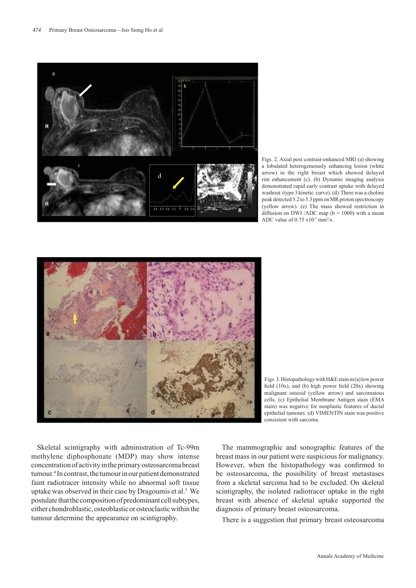

Figs. 2. Axial post contrast-enhanced MRI (a) showing a lobulated heterogeneously enhancing lesion (white arrow) in the right breast which showed delayed rim enhancement (c). (b) Dynamic imaging analysis demonstrated rapid early contrast uptake with delayed washout (type 3 kinetic curve). (d) There was a choline peak detected 3.2 to 3.3 ppm on MR proton spectroscopy (yellow arrow). (e) The mass showed restriction in diffusion on DWI /ADC map ( $b = 1000$ ) with a mean ADC value of  $0.75 \times 10^{-3}$  mm<sup>2</sup>/s.



Figs. 3. Histopathology with H&E stain in (a) low power field  $(10x)$ , and  $(b)$  high power field  $(20x)$  showing malignant osteoid (yellow arrow) and sarcomatous cells. (c) Epithelial Membrane Antigen stain (EMA stain) was negative for neoplastic features of ductal epithelial tumours. (d) VIMENTIN stain was positive consistent with sarcoma.

Skeletal scintigraphy with administration of Tc-99m methylene diphosphonate (MDP) may show intense concentration of activity in the primary osteosarcoma breast tumour.4 In contrast, the tumour in our patient demonstrated faint radiotracer intensity while no abnormal soft tissue uptake was observed in their case by Dragoumis et al.<sup>5</sup> We postulate that the composition of predominant cell subtypes, either chondroblastic, osteoblastic or osteoclastic within the tumour determine the appearance on scintigraphy.

The mammographic and sonographic features of the breast mass in our patient were suspicious for malignancy. However, when the histopathology was confirmed to be osteosarcoma, the possibility of breast metastases from a skeletal sarcoma had to be excluded. On skeletal scintigraphy, the isolated radiotracer uptake in the right breast with absence of skeletal uptake supported the diagnosis of primary breast osteosarcoma.

There is a suggestion that primary breast osteosarcoma